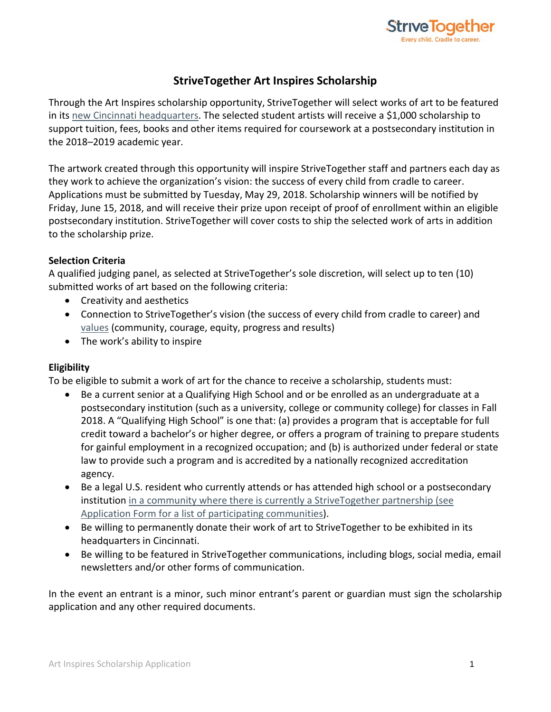

# **StriveTogether Art Inspires Scholarship**

Through the Art Inspires scholarship opportunity, StriveTogether will select works of art to be featured in its [new Cincinnati headquarters.](https://www.strivetogether.org/news/strivetogether-moves-office-headquarters-propel-growth/) The selected student artists will receive a \$1,000 scholarship to support tuition, fees, books and other items required for coursework at a postsecondary institution in the 2018–2019 academic year.

The artwork created through this opportunity will inspire StriveTogether staff and partners each day as they work to achieve the organization's vision: the success of every child from cradle to career. Applications must be submitted by Tuesday, May 29, 2018. Scholarship winners will be notified by Friday, June 15, 2018, and will receive their prize upon receipt of proof of enrollment within an eligible postsecondary institution. StriveTogether will cover costs to ship the selected work of arts in addition to the scholarship prize.

# **Selection Criteria**

A qualified judging panel, as selected at StriveTogether's sole discretion, will select up to ten (10) submitted works of art based on the following criteria:

- Creativity and aesthetics
- Connection to StriveTogether's vision (the success of every child from cradle to career) and [values](https://www.strivetogether.org/about/) (community, courage, equity, progress and results)
- The work's ability to inspire

# **Eligibility**

To be eligible to submit a work of art for the chance to receive a scholarship, students must:

- Be a current senior at a Qualifying High School and or be enrolled as an undergraduate at a postsecondary institution (such as a university, college or community college) for classes in Fall 2018. A "Qualifying High School" is one that: (a) provides a program that is acceptable for full credit toward a bachelor's or higher degree, or offers a program of training to prepare students for gainful employment in a recognized occupation; and (b) is authorized under federal or state law to provide such a program and is accredited by a nationally recognized accreditation agency.
- Be a legal U.S. resident who currently attends or has attended high school or a postsecondary institution [in a community where there is currently a StriveTogether partnership](https://www.strivetogether.org/the-network/community-partnerships-map/) (see Application Form for a list of participating communities).
- Be willing to permanently donate their work of art to StriveTogether to be exhibited in its headquarters in Cincinnati.
- Be willing to be featured in StriveTogether communications, including blogs, social media, email newsletters and/or other forms of communication.

In the event an entrant is a minor, such minor entrant's parent or guardian must sign the scholarship application and any other required documents.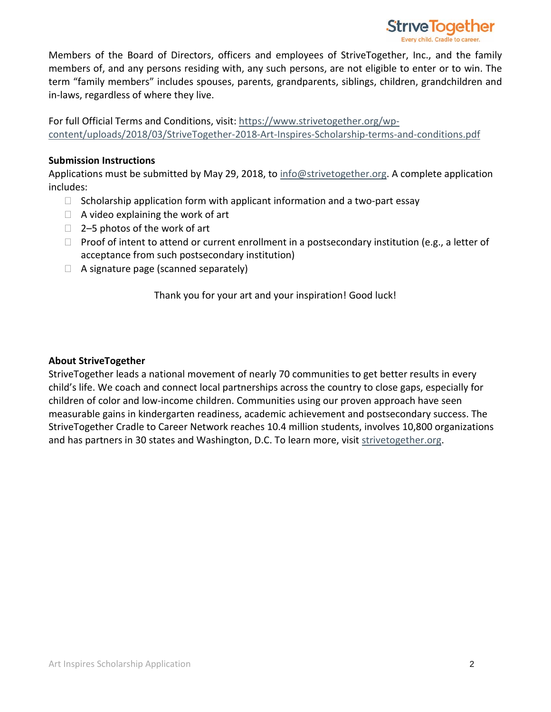

Members of the Board of Directors, officers and employees of StriveTogether, Inc., and the family members of, and any persons residing with, any such persons, are not eligible to enter or to win. The term "family members" includes spouses, parents, grandparents, siblings, children, grandchildren and in-laws, regardless of where they live.

For full Official Terms and Conditions, visit: [https://www.strivetogether.org/wp](https://www.strivetogether.org/wp-content/uploads/2018/03/StriveTogether-2018-Art-Inspires-Scholarship-terms-and-conditions.pdf)[content/uploads/2018/03/StriveTogether-2018-Art-Inspires-Scholarship-terms-and-conditions.pdf](https://www.strivetogether.org/wp-content/uploads/2018/03/StriveTogether-2018-Art-Inspires-Scholarship-terms-and-conditions.pdf)

## **Submission Instructions**

Applications must be submitted by May 29, 2018, to [info@strivetogether.org.](mailto:info@strivetogether.org) A complete application includes:

- $\Box$  Scholarship application form with applicant information and a two-part essay
- $\Box$  A video explaining the work of art
- $\Box$  2–5 photos of the work of art
- $\Box$  Proof of intent to attend or current enrollment in a postsecondary institution (e.g., a letter of acceptance from such postsecondary institution)
- $\Box$  A signature page (scanned separately)

Thank you for your art and your inspiration! Good luck!

# **About StriveTogether**

StriveTogether leads a national movement of nearly 70 communities to get better results in every child's life. We coach and connect local partnerships across the country to close gaps, especially for children of color and low-income children. Communities using our proven approach have seen measurable gains in kindergarten readiness, academic achievement and postsecondary success. The StriveTogether Cradle to Career Network reaches 10.4 million students, involves 10,800 organizations and has partners in 30 states and Washington, D.C. To learn more, visit [strivetogether.org.](https://www.strivetogether.org/)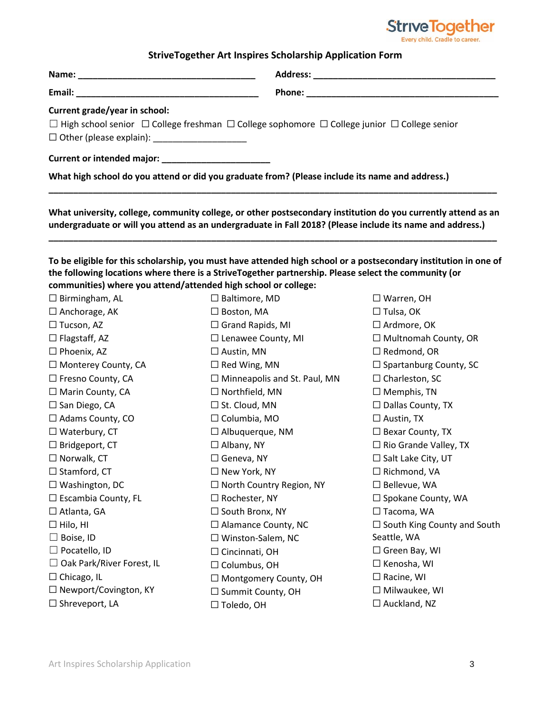

## **StriveTogether Art Inspires Scholarship Application Form**

| Current grade/year in school:<br>$\Box$ High school senior $\Box$ College freshman $\Box$ College sophomore $\Box$ College junior $\Box$ College senior<br>□ Other (please explain): _____________________ |  |
|------------------------------------------------------------------------------------------------------------------------------------------------------------------------------------------------------------|--|
|                                                                                                                                                                                                            |  |
| What high school do you attend or did you graduate from? (Please include its name and address.)                                                                                                            |  |

**What university, college, community college, or other postsecondary institution do you currently attend as an undergraduate or will you attend as an undergraduate in Fall 2018? (Please include its name and address.)**

**\_\_\_\_\_\_\_\_\_\_\_\_\_\_\_\_\_\_\_\_\_\_\_\_\_\_\_\_\_\_\_\_\_\_\_\_\_\_\_\_\_\_\_\_\_\_\_\_\_\_\_\_\_\_\_\_\_\_\_\_\_\_\_\_\_\_\_\_\_\_\_\_\_\_\_\_\_\_\_\_\_\_\_\_\_\_\_\_\_\_\_**

**To be eligible for this scholarship, you must have attended high school or a postsecondary institution in one of the following locations where there is a StriveTogether partnership. Please select the community (or communities) where you attend/attended high school or college:** 

| $\square$ Baltimore, MD             | $\Box$ Warren, OH                  |
|-------------------------------------|------------------------------------|
| $\Box$ Boston, MA                   | $\Box$ Tulsa, OK                   |
| $\Box$ Grand Rapids, MI             | $\Box$ Ardmore, OK                 |
| $\Box$ Lenawee County, MI           | □ Multnomah County, OR             |
| $\Box$ Austin, MN                   | $\square$ Redmond, OR              |
| $\square$ Red Wing, MN              | $\Box$ Spartanburg County, SC      |
| $\Box$ Minneapolis and St. Paul, MN | $\Box$ Charleston, SC              |
| $\Box$ Northfield, MN               | $\Box$ Memphis, TN                 |
| $\Box$ St. Cloud, MN                | $\Box$ Dallas County, TX           |
| $\Box$ Columbia, MO                 | $\Box$ Austin, TX                  |
| $\Box$ Albuquerque, NM              | $\Box$ Bexar County, TX            |
| $\Box$ Albany, NY                   | $\Box$ Rio Grande Valley, TX       |
| $\Box$ Geneva, NY                   | $\Box$ Salt Lake City, UT          |
| $\Box$ New York, NY                 | $\Box$ Richmond, VA                |
| □ North Country Region, NY          | $\Box$ Bellevue, WA                |
| $\Box$ Rochester, NY                | □ Spokane County, WA               |
| □ South Bronx, NY                   | $\Box$ Tacoma, WA                  |
| $\Box$ Alamance County, NC          | $\Box$ South King County and South |
| $\Box$ Winston-Salem, NC            | Seattle, WA                        |
| $\Box$ Cincinnati, OH               | $\Box$ Green Bay, WI               |
| $\Box$ Columbus, OH                 | $\Box$ Kenosha, WI                 |
| $\Box$ Montgomery County, OH        | $\Box$ Racine, WI                  |
| $\Box$ Summit County, OH            | $\Box$ Milwaukee, WI               |
| $\Box$ Toledo, OH                   | $\Box$ Auckland, NZ                |
|                                     |                                    |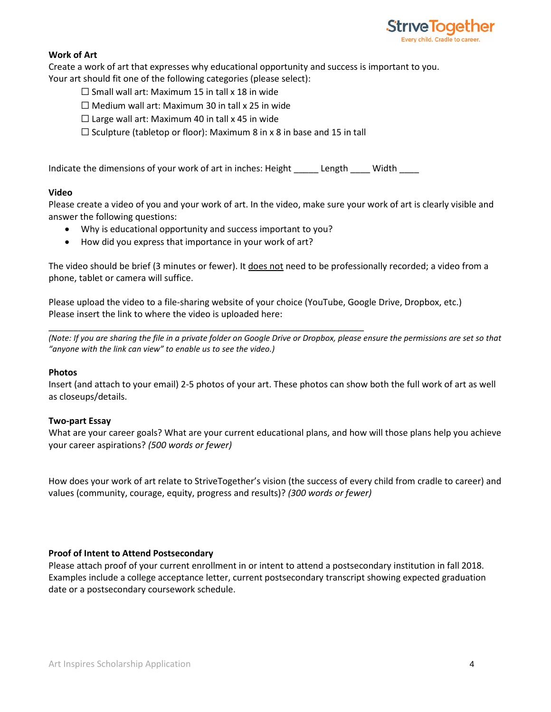

## **Work of Art**

Create a work of art that expresses why educational opportunity and success is important to you. Your art should fit one of the following categories (please select):

- $\square$  Small wall art: Maximum 15 in tall x 18 in wide
- $\Box$  Medium wall art: Maximum 30 in tall x 25 in wide
- $\Box$  Large wall art: Maximum 40 in tall x 45 in wide
- $\Box$  Sculpture (tabletop or floor): Maximum 8 in x 8 in base and 15 in tall

Indicate the dimensions of your work of art in inches: Height \_\_\_\_\_\_ Length \_\_\_\_ Width

### **Video**

Please create a video of you and your work of art. In the video, make sure your work of art is clearly visible and answer the following questions:

• Why is educational opportunity and success important to you?

\_\_\_\_\_\_\_\_\_\_\_\_\_\_\_\_\_\_\_\_\_\_\_\_\_\_\_\_\_\_\_\_\_\_\_\_\_\_\_\_\_\_\_\_\_\_\_\_\_\_\_\_\_\_\_\_\_\_\_\_\_\_\_\_

• How did you express that importance in your work of art?

The video should be brief (3 minutes or fewer). It does not need to be professionally recorded; a video from a phone, tablet or camera will suffice.

Please upload the video to a file-sharing website of your choice (YouTube, Google Drive, Dropbox, etc.) Please insert the link to where the video is uploaded here:

*(Note: If you are sharing the file in a private folder on Google Drive or Dropbox, please ensure the permissions are set so that "anyone with the link can view" to enable us to see the video.)*

#### **Photos**

Insert (and attach to your email) 2-5 photos of your art. These photos can show both the full work of art as well as closeups/details.

### **Two-part Essay**

What are your career goals? What are your current educational plans, and how will those plans help you achieve your career aspirations? *(500 words or fewer)*

How does your work of art relate to StriveTogether's vision (the success of every child from cradle to career) and values (community, courage, equity, progress and results)? *(300 words or fewer)* 

### **Proof of Intent to Attend Postsecondary**

Please attach proof of your current enrollment in or intent to attend a postsecondary institution in fall 2018. Examples include a college acceptance letter, current postsecondary transcript showing expected graduation date or a postsecondary coursework schedule.